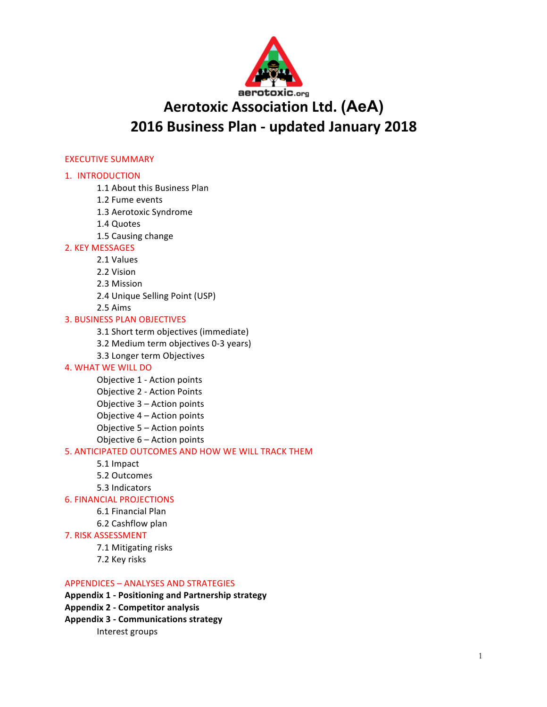

# **Aerotoxic Association Ltd. (AeA) 2016 Business Plan - updated January 2018**

## **EXECUTIVE SUMMARY**

## 1. INTRODUCTION

- 1.1 About this Business Plan
- 1.2 Fume events
- 1.3 Aerotoxic Syndrome
- 1.4 Quotes
- 1.5 Causing change

## 2. KEY MESSAGES

- 2.1 Values
- 2.2 Vision
- 2.3 Mission
- 2.4 Unique Selling Point (USP)
- 2.5 Aims

## **3. BUSINESS PLAN OBJECTIVES**

- 3.1 Short term objectives (immediate)
- 3.2 Medium term objectives 0-3 years)
- 3.3 Longer term Objectives

## **4. WHAT WE WILL DO**

- Objective 1 Action points Objective 2 - Action Points Objective 3 - Action points Objective 4 - Action points Objective  $5 -$  Action points
- Objective  $6 -$  Action points

## 5. ANTICIPATED OUTCOMES AND HOW WE WILL TRACK THEM

- 5.1 Impact
- 5.2 Outcomes
- 5.3 Indicators

## **6. FINANCIAL PROJECTIONS**

- 6.1 Financial Plan
- 6.2 Cashflow plan
- 7. RISK ASSESSMENT
	- 7.1 Mitigating risks
	- 7.2 Key risks

## APPENDICES - ANALYSES AND STRATEGIES

- **Appendix 1 - Positioning and Partnership strategy**
- **Appendix 2 - Competitor analysis**
- **Appendix 3 - Communications strategy** 
	- Interest groups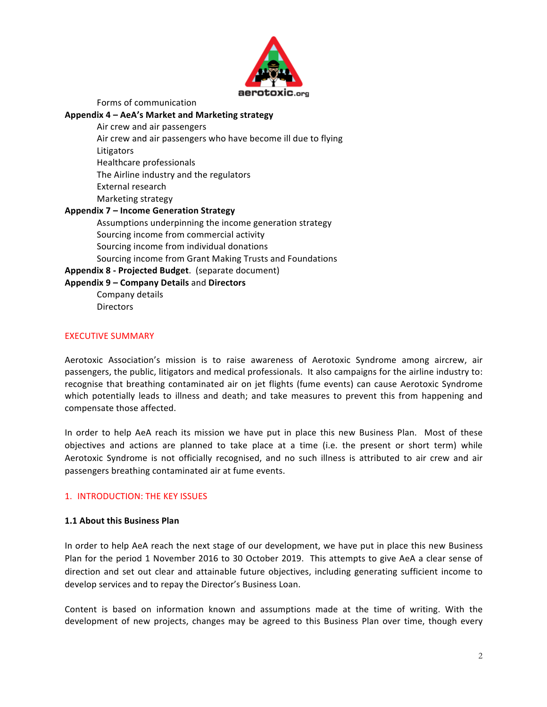

Forms of communication

#### Appendix 4 – AeA's Market and Marketing strategy

Air crew and air passengers

- Air crew and air passengers who have become ill due to flying
- Litigators
- Healthcare professionals

The Airline industry and the regulators

- External research
- Marketing strategy

## **Appendix 7 – Income Generation Strategy**

Assumptions underpinning the income generation strategy Sourcing income from commercial activity Sourcing income from individual donations Sourcing income from Grant Making Trusts and Foundations

**Appendix 8 - Projected Budget.** (separate document)

## Appendix 9 – Company Details and Directors

Company details Directors 

## EXECUTIVE SUMMARY

Aerotoxic Association's mission is to raise awareness of Aerotoxic Syndrome among aircrew, air passengers, the public, litigators and medical professionals. It also campaigns for the airline industry to: recognise that breathing contaminated air on jet flights (fume events) can cause Aerotoxic Syndrome which potentially leads to illness and death; and take measures to prevent this from happening and compensate those affected.

In order to help AeA reach its mission we have put in place this new Business Plan. Most of these objectives and actions are planned to take place at a time (i.e. the present or short term) while Aerotoxic Syndrome is not officially recognised, and no such illness is attributed to air crew and air passengers breathing contaminated air at fume events.

## 1. INTRODUCTION: THE KEY ISSUES

## **1.1 About this Business Plan**

In order to help AeA reach the next stage of our development, we have put in place this new Business Plan for the period 1 November 2016 to 30 October 2019. This attempts to give AeA a clear sense of direction and set out clear and attainable future objectives, including generating sufficient income to develop services and to repay the Director's Business Loan.

Content is based on information known and assumptions made at the time of writing. With the development of new projects, changes may be agreed to this Business Plan over time, though every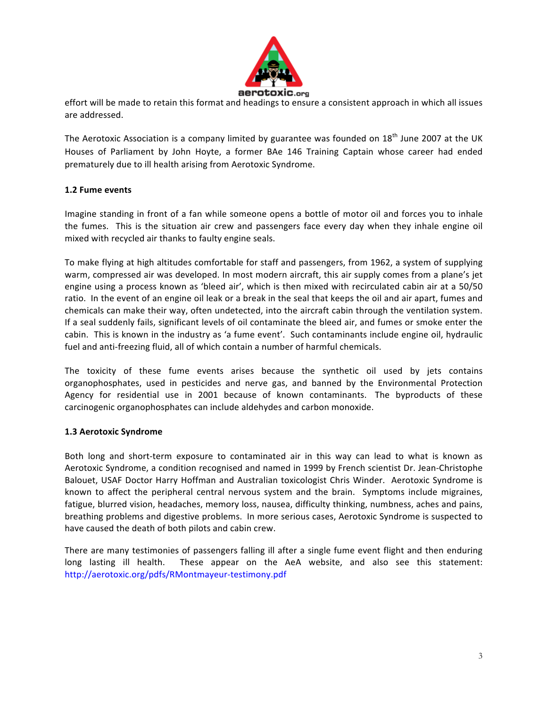

effort will be made to retain this format and headings to ensure a consistent approach in which all issues are addressed.

The Aerotoxic Association is a company limited by guarantee was founded on  $18<sup>th</sup>$  June 2007 at the UK Houses of Parliament by John Hoyte, a former BAe 146 Training Captain whose career had ended prematurely due to ill health arising from Aerotoxic Syndrome.

## **1.2 Fume events**

Imagine standing in front of a fan while someone opens a bottle of motor oil and forces you to inhale the fumes. This is the situation air crew and passengers face every day when they inhale engine oil mixed with recycled air thanks to faulty engine seals.

To make flying at high altitudes comfortable for staff and passengers, from 1962, a system of supplying warm, compressed air was developed. In most modern aircraft, this air supply comes from a plane's jet engine using a process known as 'bleed air', which is then mixed with recirculated cabin air at a 50/50 ratio. In the event of an engine oil leak or a break in the seal that keeps the oil and air apart, fumes and chemicals can make their way, often undetected, into the aircraft cabin through the ventilation system. If a seal suddenly fails, significant levels of oil contaminate the bleed air, and fumes or smoke enter the cabin. This is known in the industry as 'a fume event'. Such contaminants include engine oil, hydraulic fuel and anti-freezing fluid, all of which contain a number of harmful chemicals.

The toxicity of these fume events arises because the synthetic oil used by jets contains organophosphates, used in pesticides and nerve gas, and banned by the Environmental Protection Agency for residential use in 2001 because of known contaminants. The byproducts of these carcinogenic organophosphates can include aldehydes and carbon monoxide.

## **1.3 Aerotoxic Syndrome**

Both long and short-term exposure to contaminated air in this way can lead to what is known as Aerotoxic Syndrome, a condition recognised and named in 1999 by French scientist Dr. Jean-Christophe Balouet, USAF Doctor Harry Hoffman and Australian toxicologist Chris Winder. Aerotoxic Syndrome is known to affect the peripheral central nervous system and the brain. Symptoms include migraines, fatigue, blurred vision, headaches, memory loss, nausea, difficulty thinking, numbness, aches and pains, breathing problems and digestive problems. In more serious cases, Aerotoxic Syndrome is suspected to have caused the death of both pilots and cabin crew.

There are many testimonies of passengers falling ill after a single fume event flight and then enduring long lasting ill health. These appear on the AeA website, and also see this statement: http://aerotoxic.org/pdfs/RMontmayeur-testimony.pdf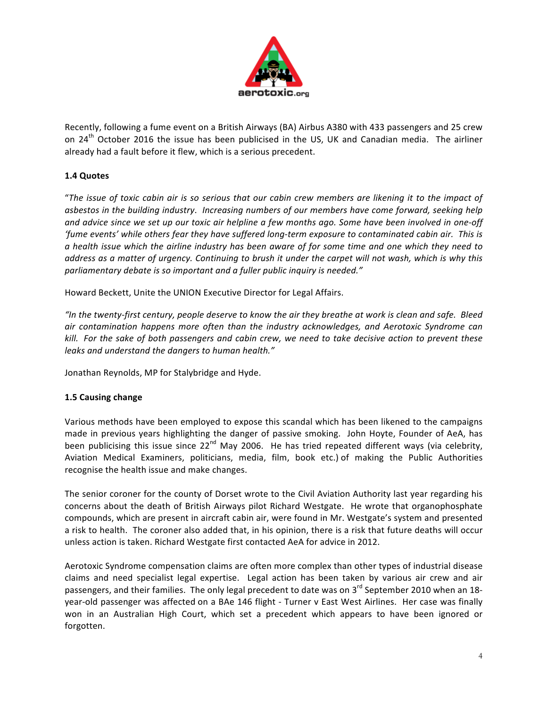

Recently, following a fume event on a British Airways (BA) Airbus A380 with 433 passengers and 25 crew on  $24<sup>th</sup>$  October 2016 the issue has been publicised in the US, UK and Canadian media. The airliner already had a fault before it flew, which is a serious precedent.

# **1.4 Quotes**

"The issue of toxic cabin air is so serious that our cabin crew members are likening it to the impact of asbestos in the building industry. Increasing numbers of our members have come forward, seeking help and advice since we set up our toxic air helpline a few months ago. Some have been involved in one-off 'fume events' while others fear they have suffered long-term exposure to contaminated cabin air. This is *a* health issue which the airline industry has been aware of for some time and one which they need to *address* as a matter of urgency. Continuing to brush it under the carpet will not wash, which is why this parliamentary debate is so important and a fuller public inquiry is needed."

Howard Beckett, Unite the UNION Executive Director for Legal Affairs.

"In the twenty-first century, people deserve to know the air they breathe at work is clean and safe. Bleed *air* contamination happens more often than the industry acknowledges, and Aerotoxic Syndrome can *kill.* For the sake of both passengers and cabin crew, we need to take decisive action to prevent these *leaks and understand the dangers to human health."* 

Jonathan Reynolds, MP for Stalybridge and Hyde.

# **1.5 Causing change**

Various methods have been employed to expose this scandal which has been likened to the campaigns made in previous years highlighting the danger of passive smoking. John Hoyte, Founder of AeA, has been publicising this issue since  $22^{nd}$  May 2006. He has tried repeated different ways (via celebrity, Aviation Medical Examiners, politicians, media, film, book etc.) of making the Public Authorities recognise the health issue and make changes.

The senior coroner for the county of Dorset wrote to the Civil Aviation Authority last year regarding his concerns about the death of British Airways pilot Richard Westgate. He wrote that organophosphate compounds, which are present in aircraft cabin air, were found in Mr. Westgate's system and presented a risk to health. The coroner also added that, in his opinion, there is a risk that future deaths will occur unless action is taken. Richard Westgate first contacted AeA for advice in 2012.

Aerotoxic Syndrome compensation claims are often more complex than other types of industrial disease claims and need specialist legal expertise. Legal action has been taken by various air crew and air passengers, and their families. The only legal precedent to date was on 3<sup>rd</sup> September 2010 when an 18year-old passenger was affected on a BAe 146 flight - Turner v East West Airlines. Her case was finally won in an Australian High Court, which set a precedent which appears to have been ignored or forgotten.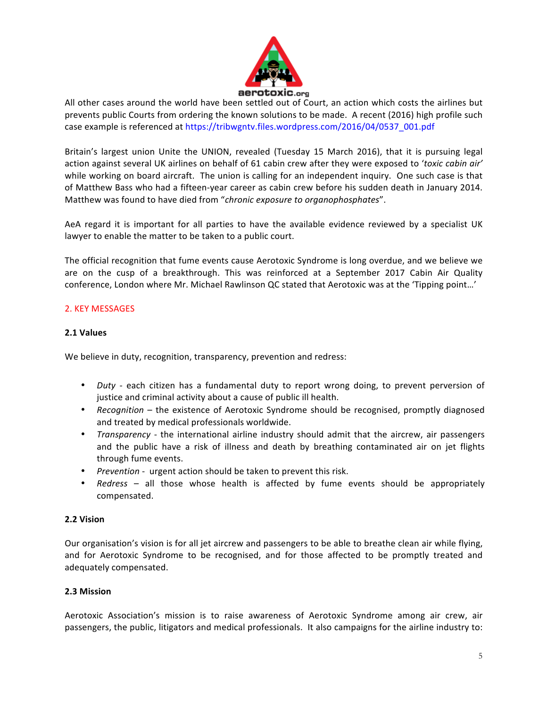

All other cases around the world have been settled out of Court, an action which costs the airlines but prevents public Courts from ordering the known solutions to be made. A recent (2016) high profile such case example is referenced at https://tribwgntv.files.wordpress.com/2016/04/0537\_001.pdf

Britain's largest union Unite the UNION, revealed (Tuesday 15 March 2016), that it is pursuing legal action against several UK airlines on behalf of 61 cabin crew after they were exposed to 'toxic cabin air' while working on board aircraft. The union is calling for an independent inquiry. One such case is that of Matthew Bass who had a fifteen-year career as cabin crew before his sudden death in January 2014. Matthew was found to have died from "*chronic exposure to organophosphates*".

AeA regard it is important for all parties to have the available evidence reviewed by a specialist UK lawyer to enable the matter to be taken to a public court.

The official recognition that fume events cause Aerotoxic Syndrome is long overdue, and we believe we are on the cusp of a breakthrough. This was reinforced at a September 2017 Cabin Air Quality conference, London where Mr. Michael Rawlinson QC stated that Aerotoxic was at the 'Tipping point...'

## 2. KEY MESSAGES

## **2.1 Values**

We believe in duty, recognition, transparency, prevention and redress:

- *Duty* each citizen has a fundamental duty to report wrong doing, to prevent perversion of justice and criminal activity about a cause of public ill health.
- *Recognition* the existence of Aerotoxic Syndrome should be recognised, promptly diagnosed and treated by medical professionals worldwide.
- *Transparency* the international airline industry should admit that the aircrew, air passengers and the public have a risk of illness and death by breathing contaminated air on jet flights through fume events.
- Prevention urgent action should be taken to prevent this risk.
- *Redress* all those whose health is affected by fume events should be appropriately compensated.

## **2.2 Vision**

Our organisation's vision is for all jet aircrew and passengers to be able to breathe clean air while flying, and for Aerotoxic Syndrome to be recognised, and for those affected to be promptly treated and adequately compensated.

## **2.3 Mission**

Aerotoxic Association's mission is to raise awareness of Aerotoxic Syndrome among air crew, air passengers, the public, litigators and medical professionals. It also campaigns for the airline industry to: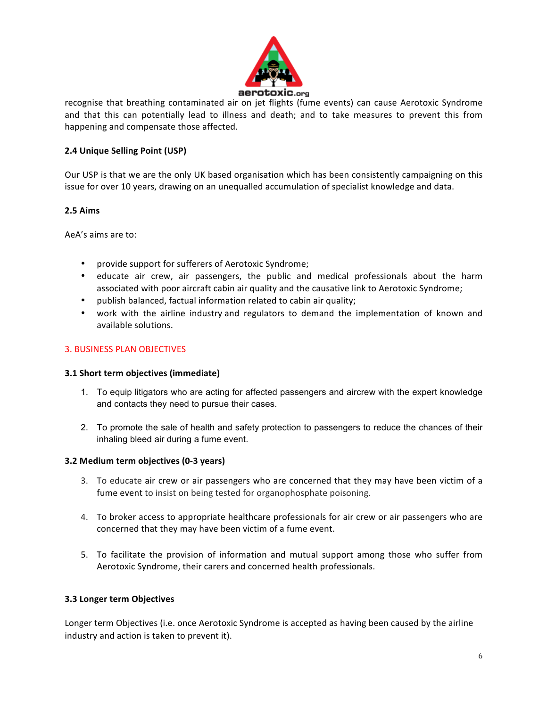

recognise that breathing contaminated air on jet flights (fume events) can cause Aerotoxic Syndrome and that this can potentially lead to illness and death; and to take measures to prevent this from happening and compensate those affected.

## **2.4 Unique Selling Point (USP)**

Our USP is that we are the only UK based organisation which has been consistently campaigning on this issue for over 10 years, drawing on an unequalled accumulation of specialist knowledge and data.

## **2.5 Aims**

AeA's aims are to:

- provide support for sufferers of Aerotoxic Syndrome;
- educate air crew, air passengers, the public and medical professionals about the harm associated with poor aircraft cabin air quality and the causative link to Aerotoxic Syndrome;
- publish balanced, factual information related to cabin air quality;
- work with the airline industry and regulators to demand the implementation of known and available solutions.

## **3. BUSINESS PLAN OBJECTIVES**

## **3.1 Short term objectives (immediate)**

- 1. To equip litigators who are acting for affected passengers and aircrew with the expert knowledge and contacts they need to pursue their cases.
- 2. To promote the sale of health and safety protection to passengers to reduce the chances of their inhaling bleed air during a fume event.

## **3.2 Medium term objectives (0-3 years)**

- 3. To educate air crew or air passengers who are concerned that they may have been victim of a fume event to insist on being tested for organophosphate poisoning.
- 4. To broker access to appropriate healthcare professionals for air crew or air passengers who are concerned that they may have been victim of a fume event.
- 5. To facilitate the provision of information and mutual support among those who suffer from Aerotoxic Syndrome, their carers and concerned health professionals.

## **3.3 Longer term Objectives**

Longer term Objectives (i.e. once Aerotoxic Syndrome is accepted as having been caused by the airline industry and action is taken to prevent it).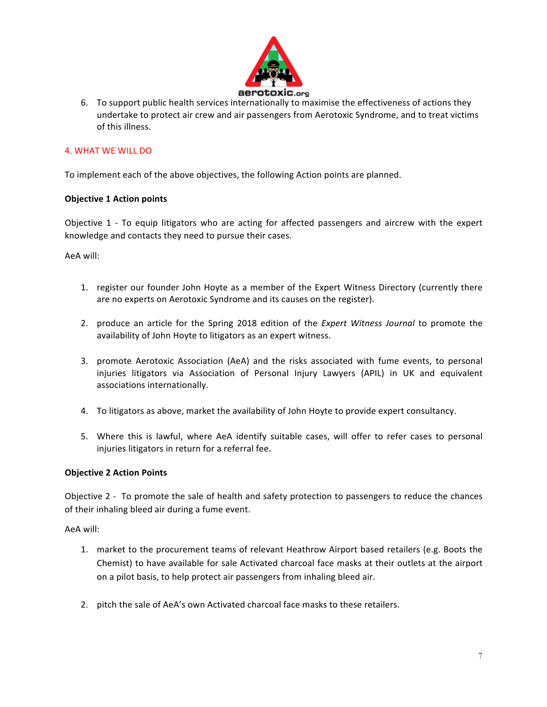

6. To support public health services internationally to maximise the effectiveness of actions they undertake to protect air crew and air passengers from Aerotoxic Syndrome, and to treat victims of this illness.

## 4. WHAT WE WILL DO

To implement each of the above objectives, the following Action points are planned.

## **Objective 1 Action points**

Objective 1 - To equip litigators who are acting for affected passengers and aircrew with the expert knowledge and contacts they need to pursue their cases.

AeA will:

- 1. register our founder John Hoyte as a member of the Expert Witness Directory (currently there are no experts on Aerotoxic Syndrome and its causes on the register).
- 2. produce an article for the Spring 2018 edition of the *Expert Witness Journal* to promote the availability of John Hoyte to litigators as an expert witness.
- 3. promote Aerotoxic Association (AeA) and the risks associated with fume events, to personal injuries litigators via Association of Personal Injury Lawyers (APIL) in UK and equivalent associations internationally.
- 4. To litigators as above, market the availability of John Hoyte to provide expert consultancy.
- 5. Where this is lawful, where AeA identify suitable cases, will offer to refer cases to personal injuries litigators in return for a referral fee.

## **Objective 2 Action Points**

Objective 2 - To promote the sale of health and safety protection to passengers to reduce the chances of their inhaling bleed air during a fume event.

AeA will:

- 1. market to the procurement teams of relevant Heathrow Airport based retailers (e.g. Boots the Chemist) to have available for sale Activated charcoal face masks at their outlets at the airport on a pilot basis, to help protect air passengers from inhaling bleed air.
- 2. pitch the sale of AeA's own Activated charcoal face masks to these retailers.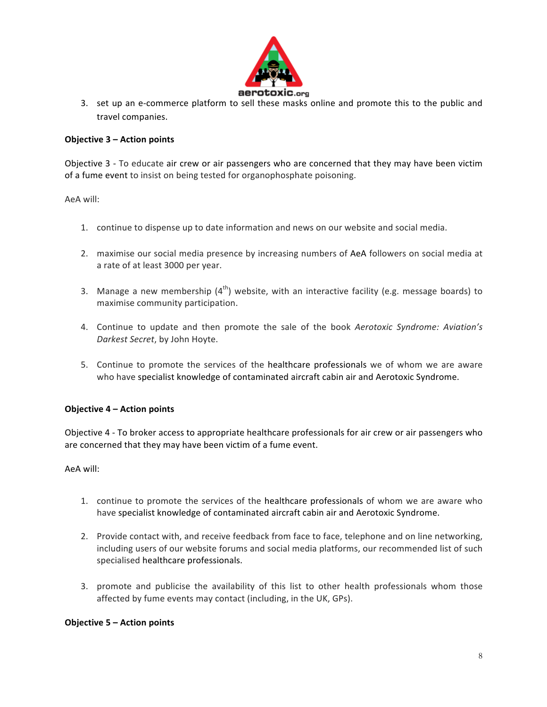

3. set up an e-commerce platform to sell these masks online and promote this to the public and travel companies.

## **Objective 3 – Action points**

Objective 3 - To educate air crew or air passengers who are concerned that they may have been victim of a fume event to insist on being tested for organophosphate poisoning.

AeA will:

- 1. continue to dispense up to date information and news on our website and social media.
- 2. maximise our social media presence by increasing numbers of AeA followers on social media at a rate of at least 3000 per year.
- 3. Manage a new membership  $(4^{th})$  website, with an interactive facility (e.g. message boards) to maximise community participation.
- 4. Continue to update and then promote the sale of the book *Aerotoxic Syndrome: Aviation's Darkest Secret*, by John Hoyte.
- 5. Continue to promote the services of the healthcare professionals we of whom we are aware who have specialist knowledge of contaminated aircraft cabin air and Aerotoxic Syndrome.

## **Objective 4 – Action points**

Objective 4 - To broker access to appropriate healthcare professionals for air crew or air passengers who are concerned that they may have been victim of a fume event.

AeA will:

- 1. continue to promote the services of the healthcare professionals of whom we are aware who have specialist knowledge of contaminated aircraft cabin air and Aerotoxic Syndrome.
- 2. Provide contact with, and receive feedback from face to face, telephone and on line networking, including users of our website forums and social media platforms, our recommended list of such specialised healthcare professionals.
- 3. promote and publicise the availability of this list to other health professionals whom those affected by fume events may contact (including, in the UK, GPs).

## **Objective 5 – Action points**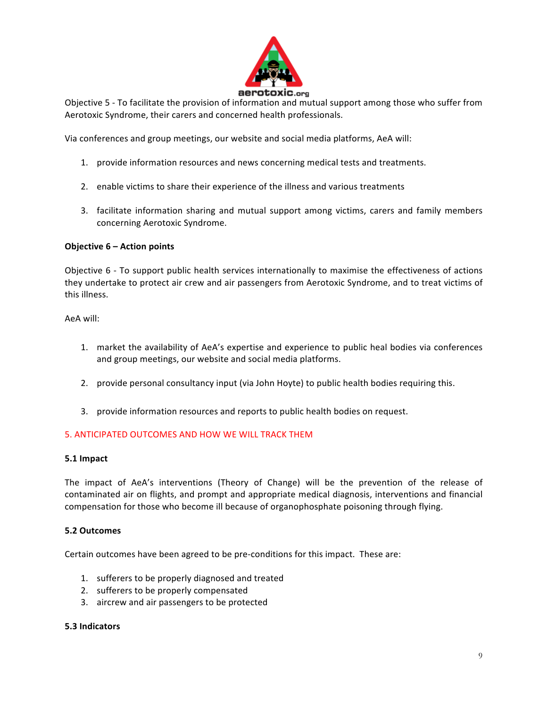

Objective 5 - To facilitate the provision of information and mutual support among those who suffer from Aerotoxic Syndrome, their carers and concerned health professionals.

Via conferences and group meetings, our website and social media platforms, AeA will:

- 1. provide information resources and news concerning medical tests and treatments.
- 2. enable victims to share their experience of the illness and various treatments
- 3. facilitate information sharing and mutual support among victims, carers and family members concerning Aerotoxic Syndrome.

#### **Objective 6 – Action points**

Objective 6 - To support public health services internationally to maximise the effectiveness of actions they undertake to protect air crew and air passengers from Aerotoxic Syndrome, and to treat victims of this illness.

AeA will: 

- 1. market the availability of AeA's expertise and experience to public heal bodies via conferences and group meetings, our website and social media platforms.
- 2. provide personal consultancy input (via John Hoyte) to public health bodies requiring this.
- 3. provide information resources and reports to public health bodies on request.

#### 5. ANTICIPATED OUTCOMES AND HOW WE WILL TRACK THEM

#### **5.1 Impact**

The impact of AeA's interventions (Theory of Change) will be the prevention of the release of contaminated air on flights, and prompt and appropriate medical diagnosis, interventions and financial compensation for those who become ill because of organophosphate poisoning through flying.

#### **5.2 Outcomes**

Certain outcomes have been agreed to be pre-conditions for this impact. These are:

- 1. sufferers to be properly diagnosed and treated
- 2. sufferers to be properly compensated
- 3. aircrew and air passengers to be protected

#### **5.3 Indicators**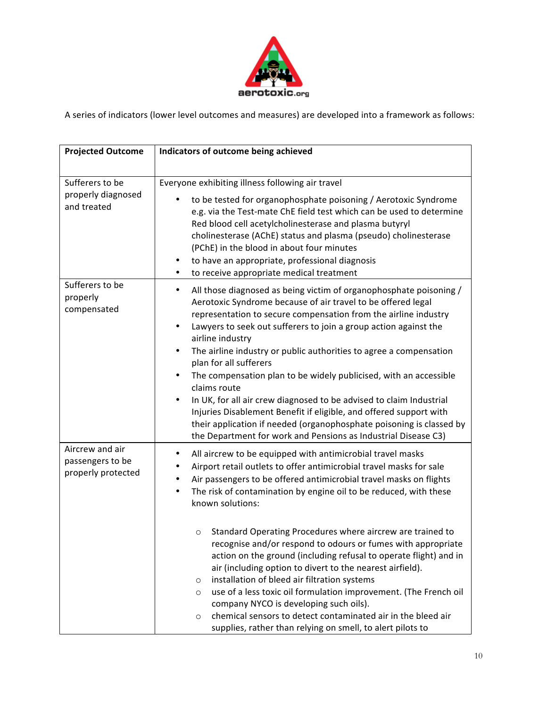

A series of indicators (lower level outcomes and measures) are developed into a framework as follows:

| <b>Projected Outcome</b>                                  | Indicators of outcome being achieved                                                                                                                                                                                                                                                                                                                                                                                                                                                                                                                                                                                                                                                                                                                                                                                                                                                                               |
|-----------------------------------------------------------|--------------------------------------------------------------------------------------------------------------------------------------------------------------------------------------------------------------------------------------------------------------------------------------------------------------------------------------------------------------------------------------------------------------------------------------------------------------------------------------------------------------------------------------------------------------------------------------------------------------------------------------------------------------------------------------------------------------------------------------------------------------------------------------------------------------------------------------------------------------------------------------------------------------------|
| Sufferers to be<br>properly diagnosed<br>and treated      | Everyone exhibiting illness following air travel<br>to be tested for organophosphate poisoning / Aerotoxic Syndrome<br>$\bullet$<br>e.g. via the Test-mate ChE field test which can be used to determine<br>Red blood cell acetylcholinesterase and plasma butyryl<br>cholinesterase (AChE) status and plasma (pseudo) cholinesterase<br>(PChE) in the blood in about four minutes<br>to have an appropriate, professional diagnosis<br>٠<br>to receive appropriate medical treatment<br>$\bullet$                                                                                                                                                                                                                                                                                                                                                                                                                 |
| Sufferers to be<br>properly<br>compensated                | All those diagnosed as being victim of organophosphate poisoning /<br>$\bullet$<br>Aerotoxic Syndrome because of air travel to be offered legal<br>representation to secure compensation from the airline industry<br>Lawyers to seek out sufferers to join a group action against the<br>$\bullet$<br>airline industry<br>The airline industry or public authorities to agree a compensation<br>$\bullet$<br>plan for all sufferers<br>The compensation plan to be widely publicised, with an accessible<br>$\bullet$<br>claims route<br>In UK, for all air crew diagnosed to be advised to claim Industrial<br>$\bullet$<br>Injuries Disablement Benefit if eligible, and offered support with<br>their application if needed (organophosphate poisoning is classed by<br>the Department for work and Pensions as Industrial Disease C3)                                                                         |
| Aircrew and air<br>passengers to be<br>properly protected | All aircrew to be equipped with antimicrobial travel masks<br>٠<br>Airport retail outlets to offer antimicrobial travel masks for sale<br>Air passengers to be offered antimicrobial travel masks on flights<br>٠<br>The risk of contamination by engine oil to be reduced, with these<br>known solutions:<br>Standard Operating Procedures where aircrew are trained to<br>$\circ$<br>recognise and/or respond to odours or fumes with appropriate<br>action on the ground (including refusal to operate flight) and in<br>air (including option to divert to the nearest airfield).<br>installation of bleed air filtration systems<br>$\circ$<br>use of a less toxic oil formulation improvement. (The French oil<br>$\circ$<br>company NYCO is developing such oils).<br>chemical sensors to detect contaminated air in the bleed air<br>$\circ$<br>supplies, rather than relying on smell, to alert pilots to |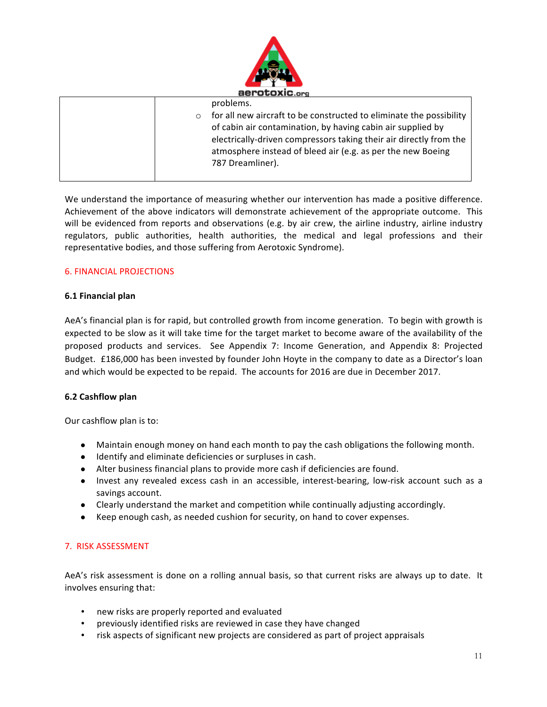

|         | problems.                                                           |
|---------|---------------------------------------------------------------------|
| $\circ$ | for all new aircraft to be constructed to eliminate the possibility |
|         | of cabin air contamination, by having cabin air supplied by         |
|         | electrically-driven compressors taking their air directly from the  |
|         | atmosphere instead of bleed air (e.g. as per the new Boeing         |
|         | 787 Dreamliner).                                                    |
|         |                                                                     |

We understand the importance of measuring whether our intervention has made a positive difference. Achievement of the above indicators will demonstrate achievement of the appropriate outcome. This will be evidenced from reports and observations (e.g. by air crew, the airline industry, airline industry regulators, public authorities, health authorities, the medical and legal professions and their representative bodies, and those suffering from Aerotoxic Syndrome).

## **6. FINANCIAL PROJECTIONS**

#### **6.1 Financial plan**

AeA's financial plan is for rapid, but controlled growth from income generation. To begin with growth is expected to be slow as it will take time for the target market to become aware of the availability of the proposed products and services. See Appendix 7: Income Generation, and Appendix 8: Projected Budget. £186,000 has been invested by founder John Hoyte in the company to date as a Director's loan and which would be expected to be repaid. The accounts for 2016 are due in December 2017.

## **6.2 Cashflow plan**

Our cashflow plan is to:

- Maintain enough money on hand each month to pay the cash obligations the following month.
- Identify and eliminate deficiencies or surpluses in cash.
- Alter business financial plans to provide more cash if deficiencies are found.
- Invest any revealed excess cash in an accessible, interest-bearing, low-risk account such as a savings account.
- Clearly understand the market and competition while continually adjusting accordingly.
- Keep enough cash, as needed cushion for security, on hand to cover expenses.

#### 7. RISK ASSESSMENT

AeA's risk assessment is done on a rolling annual basis, so that current risks are always up to date. It involves ensuring that:

- new risks are properly reported and evaluated
- previously identified risks are reviewed in case they have changed
- risk aspects of significant new projects are considered as part of project appraisals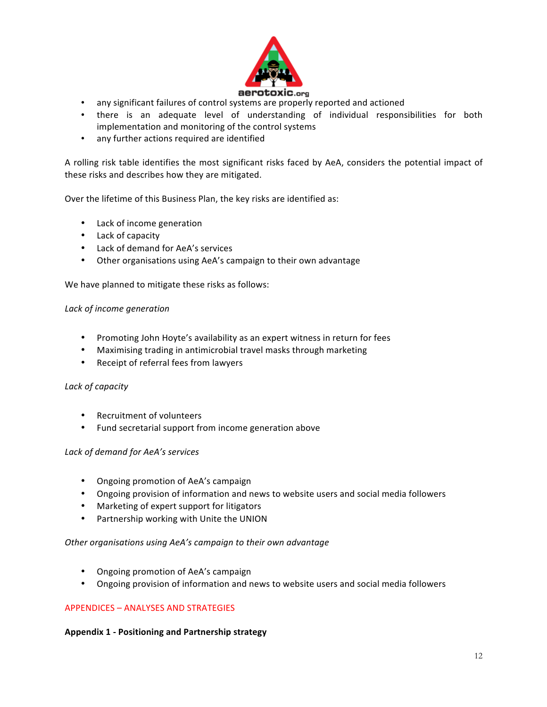

- any significant failures of control systems are properly reported and actioned
- there is an adequate level of understanding of individual responsibilities for both implementation and monitoring of the control systems
- any further actions required are identified

A rolling risk table identifies the most significant risks faced by AeA, considers the potential impact of these risks and describes how they are mitigated.

Over the lifetime of this Business Plan, the key risks are identified as:

- Lack of income generation
- Lack of capacity
- Lack of demand for AeA's services
- Other organisations using AeA's campaign to their own advantage

We have planned to mitigate these risks as follows:

#### Lack of income generation

- Promoting John Hoyte's availability as an expert witness in return for fees
- Maximising trading in antimicrobial travel masks through marketing
- Receipt of referral fees from lawyers

#### Lack of capacity

- Recruitment of volunteers
- Fund secretarial support from income generation above

#### *Lack of demand for AeA's services*

- Ongoing promotion of AeA's campaign
- Ongoing provision of information and news to website users and social media followers
- Marketing of expert support for litigators
- Partnership working with Unite the UNION

#### Other organisations using AeA's campaign to their own advantage

- Ongoing promotion of AeA's campaign
- Ongoing provision of information and news to website users and social media followers

#### APPENDICES - ANALYSES AND STRATEGIES

#### **Appendix 1 - Positioning and Partnership strategy**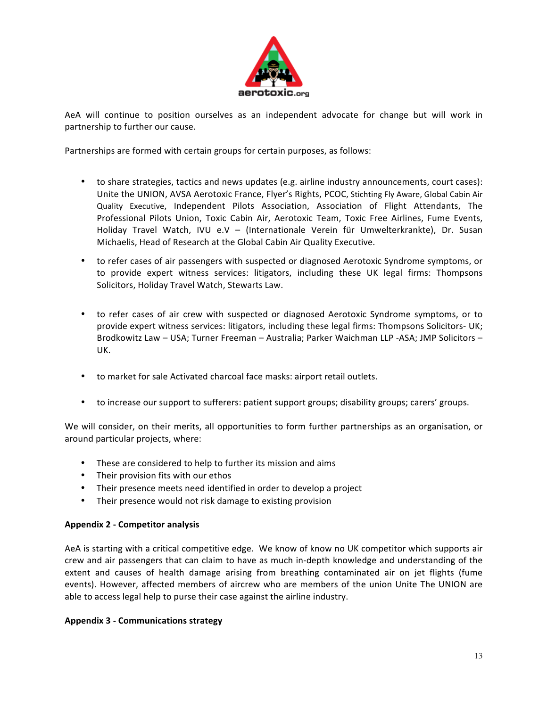

AeA will continue to position ourselves as an independent advocate for change but will work in partnership to further our cause.

Partnerships are formed with certain groups for certain purposes, as follows:

- to share strategies, tactics and news updates (e.g. airline industry announcements, court cases): Unite the UNION, AVSA Aerotoxic France, Flyer's Rights, PCOC, Stichting Fly Aware, Global Cabin Air Quality Executive, Independent Pilots Association, Association of Flight Attendants, The Professional Pilots Union, Toxic Cabin Air, Aerotoxic Team, Toxic Free Airlines, Fume Events, Holiday Travel Watch, IVU e.V - (Internationale Verein für Umwelterkrankte), Dr. Susan Michaelis, Head of Research at the Global Cabin Air Quality Executive.
- to refer cases of air passengers with suspected or diagnosed Aerotoxic Syndrome symptoms, or to provide expert witness services: litigators, including these UK legal firms: Thompsons Solicitors, Holiday Travel Watch, Stewarts Law.
- to refer cases of air crew with suspected or diagnosed Aerotoxic Syndrome symptoms, or to provide expert witness services: litigators, including these legal firms: Thompsons Solicitors- UK; Brodkowitz Law - USA; Turner Freeman - Australia; Parker Waichman LLP -ASA; JMP Solicitors -UK.
- to market for sale Activated charcoal face masks: airport retail outlets.
- to increase our support to sufferers: patient support groups; disability groups; carers' groups.

We will consider, on their merits, all opportunities to form further partnerships as an organisation, or around particular projects, where:

- These are considered to help to further its mission and aims
- Their provision fits with our ethos
- Their presence meets need identified in order to develop a project
- Their presence would not risk damage to existing provision

## **Appendix 2 - Competitor analysis**

AeA is starting with a critical competitive edge. We know of know no UK competitor which supports air crew and air passengers that can claim to have as much in-depth knowledge and understanding of the extent and causes of health damage arising from breathing contaminated air on jet flights (fume events). However, affected members of aircrew who are members of the union Unite The UNION are able to access legal help to purse their case against the airline industry.

#### **Appendix 3 - Communications strategy**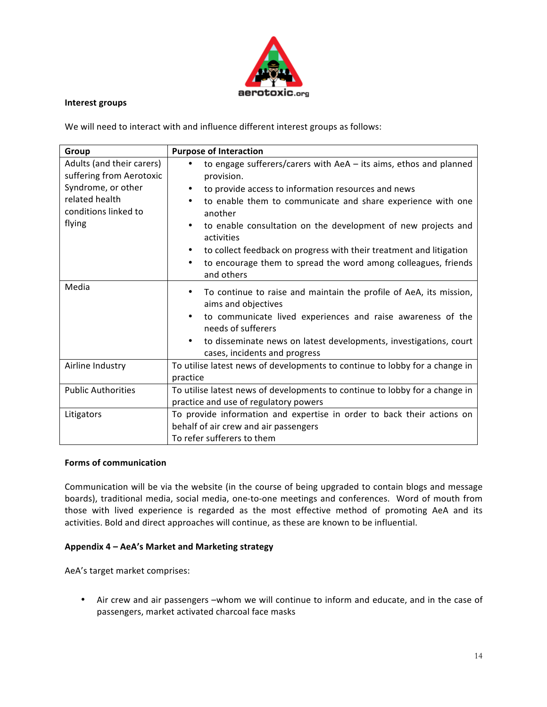

#### **Interest groups**

We will need to interact with and influence different interest groups as follows:

| Group                     | <b>Purpose of Interaction</b>                                                                  |  |
|---------------------------|------------------------------------------------------------------------------------------------|--|
| Adults (and their carers) | to engage sufferers/carers with $AeA - its aims$ , ethos and planned<br>$\bullet$              |  |
| suffering from Aerotoxic  | provision.                                                                                     |  |
| Syndrome, or other        | to provide access to information resources and news<br>$\bullet$                               |  |
| related health            | to enable them to communicate and share experience with one<br>$\bullet$                       |  |
| conditions linked to      | another                                                                                        |  |
| flying                    | to enable consultation on the development of new projects and<br>$\bullet$<br>activities       |  |
|                           | to collect feedback on progress with their treatment and litigation<br>$\bullet$               |  |
|                           | to encourage them to spread the word among colleagues, friends<br>$\bullet$<br>and others      |  |
| Media                     | $\bullet$                                                                                      |  |
|                           | To continue to raise and maintain the profile of AeA, its mission,                             |  |
|                           | aims and objectives                                                                            |  |
|                           | to communicate lived experiences and raise awareness of the<br>$\bullet$<br>needs of sufferers |  |
|                           | to disseminate news on latest developments, investigations, court<br>$\bullet$                 |  |
|                           | cases, incidents and progress                                                                  |  |
| Airline Industry          | To utilise latest news of developments to continue to lobby for a change in                    |  |
|                           | practice                                                                                       |  |
| <b>Public Authorities</b> | To utilise latest news of developments to continue to lobby for a change in                    |  |
|                           | practice and use of regulatory powers                                                          |  |
| Litigators                | To provide information and expertise in order to back their actions on                         |  |
|                           | behalf of air crew and air passengers                                                          |  |
|                           | To refer sufferers to them                                                                     |  |

#### **Forms of communication**

Communication will be via the website (in the course of being upgraded to contain blogs and message boards), traditional media, social media, one-to-one meetings and conferences. Word of mouth from those with lived experience is regarded as the most effective method of promoting AeA and its activities. Bold and direct approaches will continue, as these are known to be influential.

## Appendix 4 - AeA's Market and Marketing strategy

AeA's target market comprises:

• Air crew and air passengers -whom we will continue to inform and educate, and in the case of passengers, market activated charcoal face masks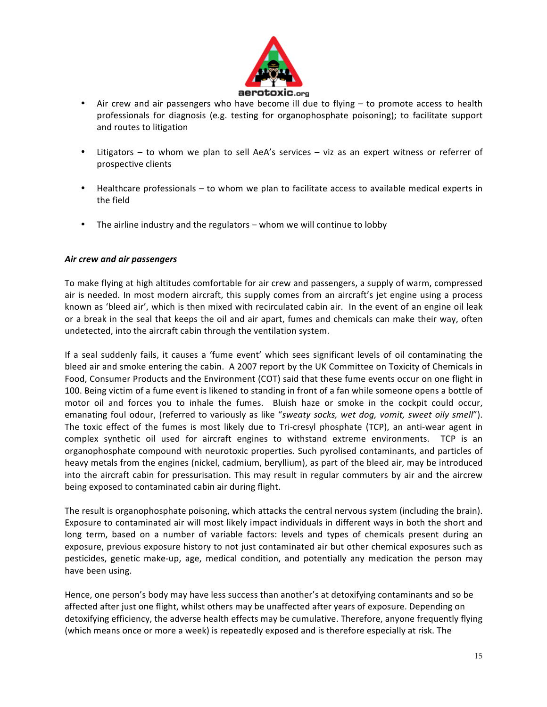

- Air crew and air passengers who have become ill due to flying to promote access to health professionals for diagnosis (e.g. testing for organophosphate poisoning); to facilitate support and routes to litigation
- Litigators to whom we plan to sell AeA's services viz as an expert witness or referrer of prospective clients
- Healthcare professionals to whom we plan to facilitate access to available medical experts in the field
- The airline industry and the regulators whom we will continue to lobby

## *Air crew and air passengers*

To make flying at high altitudes comfortable for air crew and passengers, a supply of warm, compressed air is needed. In most modern aircraft, this supply comes from an aircraft's jet engine using a process known as 'bleed air', which is then mixed with recirculated cabin air. In the event of an engine oil leak or a break in the seal that keeps the oil and air apart, fumes and chemicals can make their way, often undetected, into the aircraft cabin through the ventilation system.

If a seal suddenly fails, it causes a 'fume event' which sees significant levels of oil contaminating the bleed air and smoke entering the cabin. A 2007 report by the UK Committee on Toxicity of Chemicals in Food, Consumer Products and the Environment (COT) said that these fume events occur on one flight in 100. Being victim of a fume event is likened to standing in front of a fan while someone opens a bottle of motor oil and forces you to inhale the fumes. Bluish haze or smoke in the cockpit could occur, emanating foul odour, (referred to variously as like "sweaty socks, wet dog, vomit, sweet oily smell"). The toxic effect of the fumes is most likely due to Tri-cresyl phosphate (TCP), an anti-wear agent in complex synthetic oil used for aircraft engines to withstand extreme environments. TCP is an organophosphate compound with neurotoxic properties. Such pyrolised contaminants, and particles of heavy metals from the engines (nickel, cadmium, beryllium), as part of the bleed air, may be introduced into the aircraft cabin for pressurisation. This may result in regular commuters by air and the aircrew being exposed to contaminated cabin air during flight.

The result is organophosphate poisoning, which attacks the central nervous system (including the brain). Exposure to contaminated air will most likely impact individuals in different ways in both the short and long term, based on a number of variable factors: levels and types of chemicals present during an exposure, previous exposure history to not just contaminated air but other chemical exposures such as pesticides, genetic make-up, age, medical condition, and potentially any medication the person may have been using.

Hence, one person's body may have less success than another's at detoxifying contaminants and so be affected after just one flight, whilst others may be unaffected after years of exposure. Depending on detoxifying efficiency, the adverse health effects may be cumulative. Therefore, anyone frequently flying (which means once or more a week) is repeatedly exposed and is therefore especially at risk. The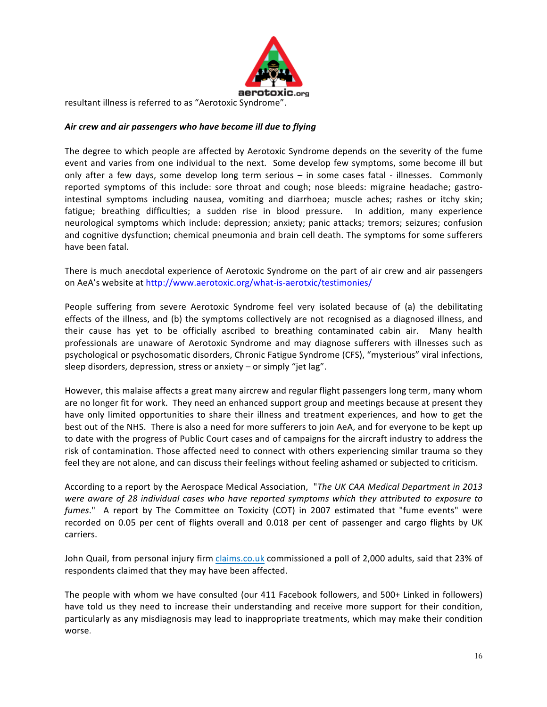

resultant illness is referred to as "Aerotoxic Syndrome".

## Air crew and air passengers who have become ill due to flying

The degree to which people are affected by Aerotoxic Syndrome depends on the severity of the fume event and varies from one individual to the next. Some develop few symptoms, some become ill but only after a few days, some develop long term serious  $-$  in some cases fatal - illnesses. Commonly reported symptoms of this include: sore throat and cough; nose bleeds: migraine headache; gastrointestinal symptoms including nausea, vomiting and diarrhoea; muscle aches; rashes or itchy skin; fatigue; breathing difficulties; a sudden rise in blood pressure. In addition, many experience neurological symptoms which include: depression; anxiety; panic attacks; tremors; seizures; confusion and cognitive dysfunction; chemical pneumonia and brain cell death. The symptoms for some sufferers have been fatal.

There is much anecdotal experience of Aerotoxic Syndrome on the part of air crew and air passengers on AeA's website at http://www.aerotoxic.org/what-is-aerotxic/testimonies/

People suffering from severe Aerotoxic Syndrome feel very isolated because of (a) the debilitating effects of the illness, and (b) the symptoms collectively are not recognised as a diagnosed illness, and their cause has yet to be officially ascribed to breathing contaminated cabin air. Many health professionals are unaware of Aerotoxic Syndrome and may diagnose sufferers with illnesses such as psychological or psychosomatic disorders, Chronic Fatigue Syndrome (CFS), "mysterious" viral infections, sleep disorders, depression, stress or anxiety - or simply "jet lag".

However, this malaise affects a great many aircrew and regular flight passengers long term, many whom are no longer fit for work. They need an enhanced support group and meetings because at present they have only limited opportunities to share their illness and treatment experiences, and how to get the best out of the NHS. There is also a need for more sufferers to join AeA, and for everyone to be kept up to date with the progress of Public Court cases and of campaigns for the aircraft industry to address the risk of contamination. Those affected need to connect with others experiencing similar trauma so they feel they are not alone, and can discuss their feelings without feeling ashamed or subjected to criticism.

According to a report by the Aerospace Medical Association, "*The UK CAA Medical Department in 2013 were aware of 28 individual cases who have reported symptoms which they attributed to exposure to fumes*." A report by The Committee on Toxicity (COT) in 2007 estimated that "fume events" were recorded on 0.05 per cent of flights overall and 0.018 per cent of passenger and cargo flights by UK carriers. 

John Quail, from personal injury firm claims.co.uk commissioned a poll of 2,000 adults, said that 23% of respondents claimed that they may have been affected.

The people with whom we have consulted (our 411 Facebook followers, and 500+ Linked in followers) have told us they need to increase their understanding and receive more support for their condition, particularly as any misdiagnosis may lead to inappropriate treatments, which may make their condition worse.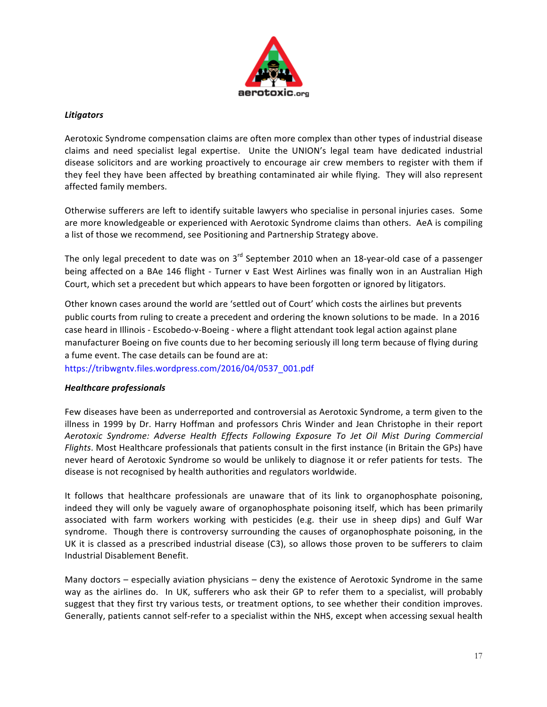

## *Litigators*

Aerotoxic Syndrome compensation claims are often more complex than other types of industrial disease claims and need specialist legal expertise. Unite the UNION's legal team have dedicated industrial disease solicitors and are working proactively to encourage air crew members to register with them if they feel they have been affected by breathing contaminated air while flying. They will also represent affected family members.

Otherwise sufferers are left to identify suitable lawyers who specialise in personal injuries cases. Some are more knowledgeable or experienced with Aerotoxic Syndrome claims than others. AeA is compiling a list of those we recommend, see Positioning and Partnership Strategy above.

The only legal precedent to date was on  $3^{rd}$  September 2010 when an 18-year-old case of a passenger being affected on a BAe 146 flight - Turner v East West Airlines was finally won in an Australian High Court, which set a precedent but which appears to have been forgotten or ignored by litigators.

Other known cases around the world are 'settled out of Court' which costs the airlines but prevents public courts from ruling to create a precedent and ordering the known solutions to be made. In a 2016 case heard in Illinois - Escobedo-v-Boeing - where a flight attendant took legal action against plane manufacturer Boeing on five counts due to her becoming seriously ill long term because of flying during a fume event. The case details can be found are at:

https://tribwgntv.files.wordpress.com/2016/04/0537\_001.pdf

## *Healthcare professionals*

Few diseases have been as underreported and controversial as Aerotoxic Syndrome, a term given to the illness in 1999 by Dr. Harry Hoffman and professors Chris Winder and Jean Christophe in their report Aerotoxic Syndrome: Adverse Health Effects Following Exposure To Jet Oil Mist During Commercial *Flights*. Most Healthcare professionals that patients consult in the first instance (in Britain the GPs) have never heard of Aerotoxic Syndrome so would be unlikely to diagnose it or refer patients for tests. The disease is not recognised by health authorities and regulators worldwide.

It follows that healthcare professionals are unaware that of its link to organophosphate poisoning, indeed they will only be vaguely aware of organophosphate poisoning itself, which has been primarily associated with farm workers working with pesticides (e.g. their use in sheep dips) and Gulf War syndrome. Though there is controversy surrounding the causes of organophosphate poisoning, in the UK it is classed as a prescribed industrial disease  $(C3)$ , so allows those proven to be sufferers to claim Industrial Disablement Benefit. 

Many doctors  $-$  especially aviation physicians  $-$  deny the existence of Aerotoxic Syndrome in the same way as the airlines do. In UK, sufferers who ask their GP to refer them to a specialist, will probably suggest that they first try various tests, or treatment options, to see whether their condition improves. Generally, patients cannot self-refer to a specialist within the NHS, except when accessing sexual health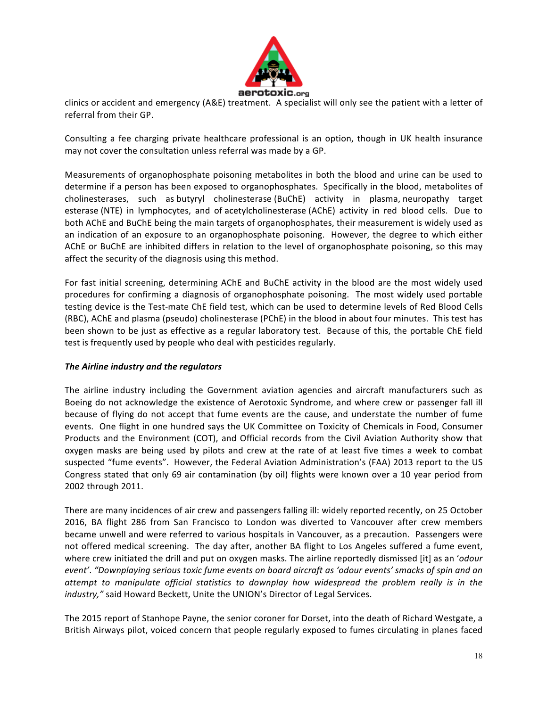

clinics or accident and emergency (A&E) treatment. A specialist will only see the patient with a letter of referral from their GP.

Consulting a fee charging private healthcare professional is an option, though in UK health insurance may not cover the consultation unless referral was made by a GP.

Measurements of organophosphate poisoning metabolites in both the blood and urine can be used to determine if a person has been exposed to organophosphates. Specifically in the blood, metabolites of cholinesterases, such as butyryl cholinesterase (BuChE) activity in plasma, neuropathy target esterase (NTE) in lymphocytes, and of acetylcholinesterase (AChE) activity in red blood cells. Due to both AChE and BuChE being the main targets of organophosphates, their measurement is widely used as an indication of an exposure to an organophosphate poisoning. However, the degree to which either AChE or BuChE are inhibited differs in relation to the level of organophosphate poisoning, so this may affect the security of the diagnosis using this method.

For fast initial screening, determining AChE and BuChE activity in the blood are the most widely used procedures for confirming a diagnosis of organophosphate poisoning. The most widely used portable testing device is the Test-mate ChE field test, which can be used to determine levels of Red Blood Cells (RBC), AChE and plasma (pseudo) cholinesterase (PChE) in the blood in about four minutes. This test has been shown to be just as effective as a regular laboratory test. Because of this, the portable ChE field test is frequently used by people who deal with pesticides regularly.

## The Airline industry and the regulators

The airline industry including the Government aviation agencies and aircraft manufacturers such as Boeing do not acknowledge the existence of Aerotoxic Syndrome, and where crew or passenger fall ill because of flying do not accept that fume events are the cause, and understate the number of fume events. One flight in one hundred says the UK Committee on Toxicity of Chemicals in Food, Consumer Products and the Environment (COT), and Official records from the Civil Aviation Authority show that oxygen masks are being used by pilots and crew at the rate of at least five times a week to combat suspected "fume events". However, the Federal Aviation Administration's (FAA) 2013 report to the US Congress stated that only 69 air contamination (by oil) flights were known over a 10 year period from 2002 through 2011.

There are many incidences of air crew and passengers falling ill: widely reported recently, on 25 October 2016, BA flight 286 from San Francisco to London was diverted to Vancouver after crew members became unwell and were referred to various hospitals in Vancouver, as a precaution. Passengers were not offered medical screening. The day after, another BA flight to Los Angeles suffered a fume event, where crew initiated the drill and put on oxygen masks. The airline reportedly dismissed [it] as an 'odour *event'. "Downplaying serious toxic fume events on board aircraft as 'odour events' smacks of spin and an attempt* to manipulate official statistics to downplay how widespread the problem really is in the *industry,"* said Howard Beckett, Unite the UNION's Director of Legal Services.

The 2015 report of Stanhope Payne, the senior coroner for Dorset, into the death of Richard Westgate, a British Airways pilot, voiced concern that people regularly exposed to fumes circulating in planes faced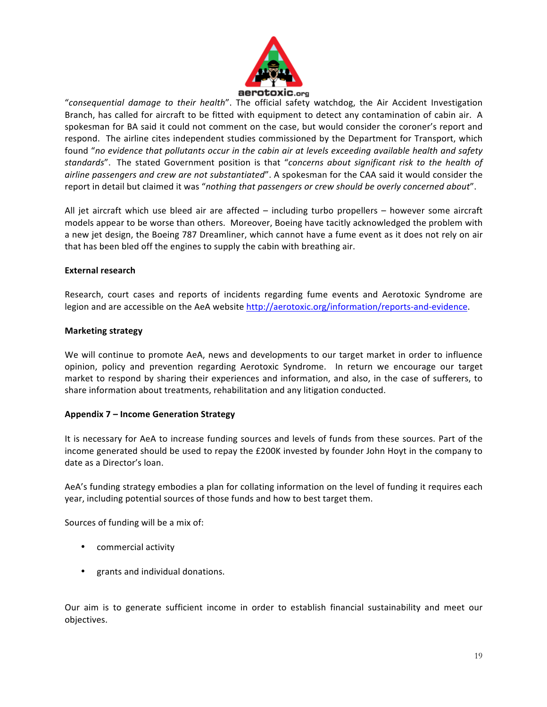

"consequential damage to their health". The official safety watchdog, the Air Accident Investigation Branch, has called for aircraft to be fitted with equipment to detect any contamination of cabin air. A spokesman for BA said it could not comment on the case, but would consider the coroner's report and respond. The airline cites independent studies commissioned by the Department for Transport, which found "no evidence that pollutants occur in the cabin air at levels exceeding available health and safety standards". The stated Government position is that "concerns about significant risk to the health of *airline passengers and crew are not substantiated"*. A spokesman for the CAA said it would consider the report in detail but claimed it was "nothing that passengers or crew should be overly concerned about".

All jet aircraft which use bleed air are affected  $-$  including turbo propellers  $-$  however some aircraft models appear to be worse than others. Moreover, Boeing have tacitly acknowledged the problem with a new jet design, the Boeing 787 Dreamliner, which cannot have a fume event as it does not rely on air that has been bled off the engines to supply the cabin with breathing air.

## **External research**

Research, court cases and reports of incidents regarding fume events and Aerotoxic Syndrome are legion and are accessible on the AeA website http://aerotoxic.org/information/reports-and-evidence.

#### **Marketing strategy**

We will continue to promote AeA, news and developments to our target market in order to influence opinion, policy and prevention regarding Aerotoxic Syndrome. In return we encourage our target market to respond by sharing their experiences and information, and also, in the case of sufferers, to share information about treatments, rehabilitation and any litigation conducted.

#### **Appendix 7 – Income Generation Strategy**

It is necessary for AeA to increase funding sources and levels of funds from these sources. Part of the income generated should be used to repay the £200K invested by founder John Hoyt in the company to date as a Director's loan.

AeA's funding strategy embodies a plan for collating information on the level of funding it requires each year, including potential sources of those funds and how to best target them.

Sources of funding will be a mix of:

- commercial activity
- grants and individual donations.

Our aim is to generate sufficient income in order to establish financial sustainability and meet our objectives.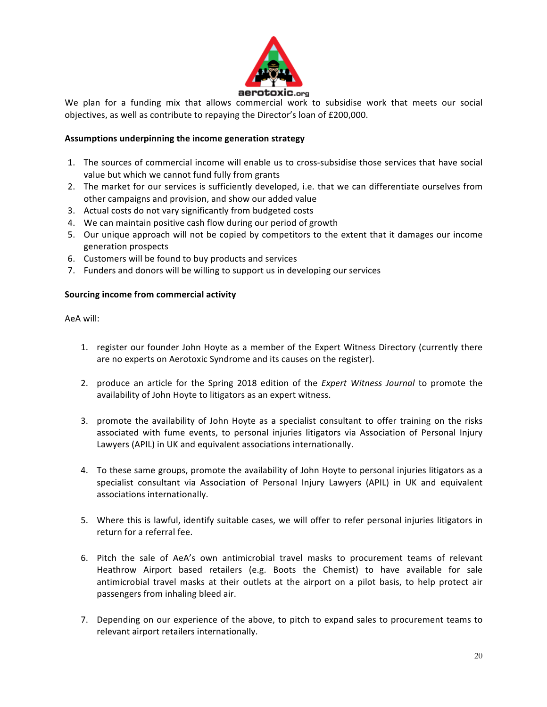

We plan for a funding mix that allows commercial work to subsidise work that meets our social objectives, as well as contribute to repaying the Director's loan of £200,000.

## Assumptions underpinning the income generation strategy

- 1. The sources of commercial income will enable us to cross-subsidise those services that have social value but which we cannot fund fully from grants
- 2. The market for our services is sufficiently developed, i.e. that we can differentiate ourselves from other campaigns and provision, and show our added value
- 3. Actual costs do not vary significantly from budgeted costs
- 4. We can maintain positive cash flow during our period of growth
- 5. Our unique approach will not be copied by competitors to the extent that it damages our income generation prospects
- 6. Customers will be found to buy products and services
- 7. Funders and donors will be willing to support us in developing our services

#### **Sourcing income from commercial activity**

AeA will:

- 1. register our founder John Hoyte as a member of the Expert Witness Directory (currently there are no experts on Aerotoxic Syndrome and its causes on the register).
- 2. produce an article for the Spring 2018 edition of the *Expert Witness Journal* to promote the availability of John Hoyte to litigators as an expert witness.
- 3. promote the availability of John Hoyte as a specialist consultant to offer training on the risks associated with fume events, to personal injuries litigators via Association of Personal Injury Lawyers (APIL) in UK and equivalent associations internationally.
- 4. To these same groups, promote the availability of John Hoyte to personal injuries litigators as a specialist consultant via Association of Personal Injury Lawyers (APIL) in UK and equivalent associations internationally.
- 5. Where this is lawful, identify suitable cases, we will offer to refer personal injuries litigators in return for a referral fee.
- 6. Pitch the sale of AeA's own antimicrobial travel masks to procurement teams of relevant Heathrow Airport based retailers (e.g. Boots the Chemist) to have available for sale antimicrobial travel masks at their outlets at the airport on a pilot basis, to help protect air passengers from inhaling bleed air.
- 7. Depending on our experience of the above, to pitch to expand sales to procurement teams to relevant airport retailers internationally.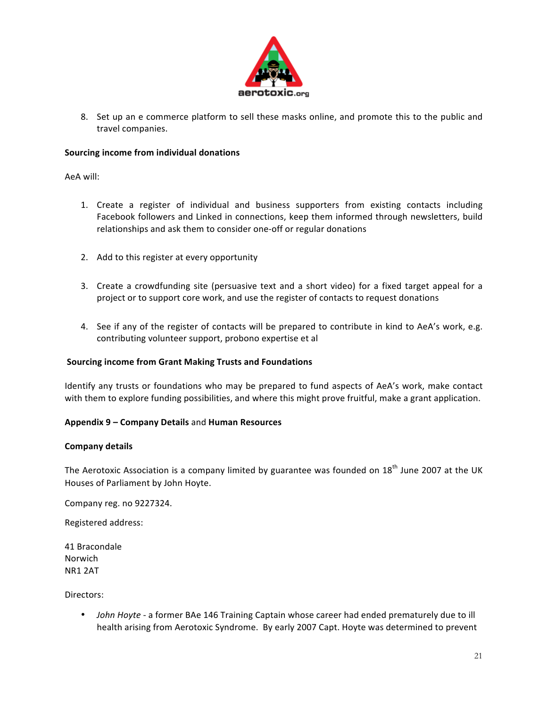

8. Set up an e commerce platform to sell these masks online, and promote this to the public and travel companies.

#### **Sourcing income from individual donations**

AeA will:

- 1. Create a register of individual and business supporters from existing contacts including Facebook followers and Linked in connections, keep them informed through newsletters, build relationships and ask them to consider one-off or regular donations
- 2. Add to this register at every opportunity
- 3. Create a crowdfunding site (persuasive text and a short video) for a fixed target appeal for a project or to support core work, and use the register of contacts to request donations
- 4. See if any of the register of contacts will be prepared to contribute in kind to AeA's work, e.g. contributing volunteer support, probono expertise et al

#### **Sourcing income from Grant Making Trusts and Foundations**

Identify any trusts or foundations who may be prepared to fund aspects of AeA's work, make contact with them to explore funding possibilities, and where this might prove fruitful, make a grant application.

## **Appendix 9 – Company Details** and **Human Resources**

#### **Company details**

The Aerotoxic Association is a company limited by guarantee was founded on  $18<sup>th</sup>$  June 2007 at the UK Houses of Parliament by John Hoyte.

Company reg. no 9227324.

Registered address: 

41 Bracondale Norwich NR1 2AT 

Directors:

John Hoyte - a former BAe 146 Training Captain whose career had ended prematurely due to ill health arising from Aerotoxic Syndrome. By early 2007 Capt. Hoyte was determined to prevent